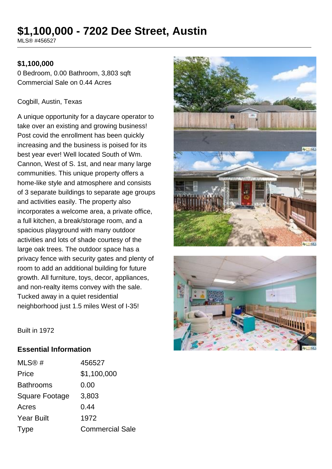# **\$1,100,000 - 7202 Dee Street, Austin**

MLS® #456527

### **\$1,100,000**

0 Bedroom, 0.00 Bathroom, 3,803 sqft Commercial Sale on 0.44 Acres

#### Cogbill, Austin, Texas

A unique opportunity for a daycare operator to take over an existing and growing business! Post covid the enrollment has been quickly increasing and the business is poised for its best year ever! Well located South of Wm. Cannon, West of S. 1st, and near many large communities. This unique property offers a home-like style and atmosphere and consists of 3 separate buildings to separate age groups and activities easily. The property also incorporates a welcome area, a private office, a full kitchen, a break/storage room, and a spacious playground with many outdoor activities and lots of shade courtesy of the large oak trees. The outdoor space has a privacy fence with security gates and plenty of room to add an additional building for future growth. All furniture, toys, decor, appliances, and non-realty items convey with the sale. Tucked away in a quiet residential neighborhood just 1.5 miles West of I-35!





Built in 1972

#### **Essential Information**

| MLS@#                 | 456527                 |
|-----------------------|------------------------|
| Price                 | \$1,100,000            |
| <b>Bathrooms</b>      | 0.00                   |
| <b>Square Footage</b> | 3,803                  |
| Acres                 | 0.44                   |
| <b>Year Built</b>     | 1972                   |
| Type                  | <b>Commercial Sale</b> |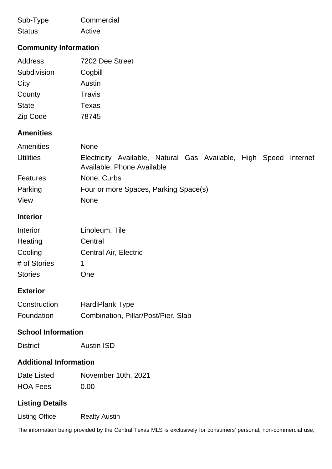| Sub-Type      | Commercial |
|---------------|------------|
| <b>Status</b> | Active     |

# **Community Information**

| Address      | 7202 Dee Street |
|--------------|-----------------|
| Subdivision  | Cogbill         |
| City         | Austin          |
| County       | Travis          |
| <b>State</b> | Texas           |
| Zip Code     | 78745           |

# **Amenities**

| Amenities        | <b>None</b>                                                                                        |  |
|------------------|----------------------------------------------------------------------------------------------------|--|
| <b>Utilities</b> | Electricity Available, Natural Gas Available, High Speed<br>Internet<br>Available, Phone Available |  |
| <b>Features</b>  | None, Curbs                                                                                        |  |
| Parking          | Four or more Spaces, Parking Space(s)                                                              |  |
| View             | <b>None</b>                                                                                        |  |

#### **Interior**

| Interior       | Linoleum, Tile        |
|----------------|-----------------------|
| Heating        | Central               |
| Cooling        | Central Air, Electric |
| # of Stories   | 1.                    |
| <b>Stories</b> | One                   |

# **Exterior**

| Construction | <b>HardiPlank Type</b>              |
|--------------|-------------------------------------|
| Foundation   | Combination, Pillar/Post/Pier, Slab |

## **School Information**

#### **Additional Information**

| Date Listed     | November 10th, 2021 |
|-----------------|---------------------|
| <b>HOA Fees</b> | 0.00                |

## **Listing Details**

Listing Office Realty Austin

The information being provided by the Central Texas MLS is exclusively for consumers' personal, non-commercial use,